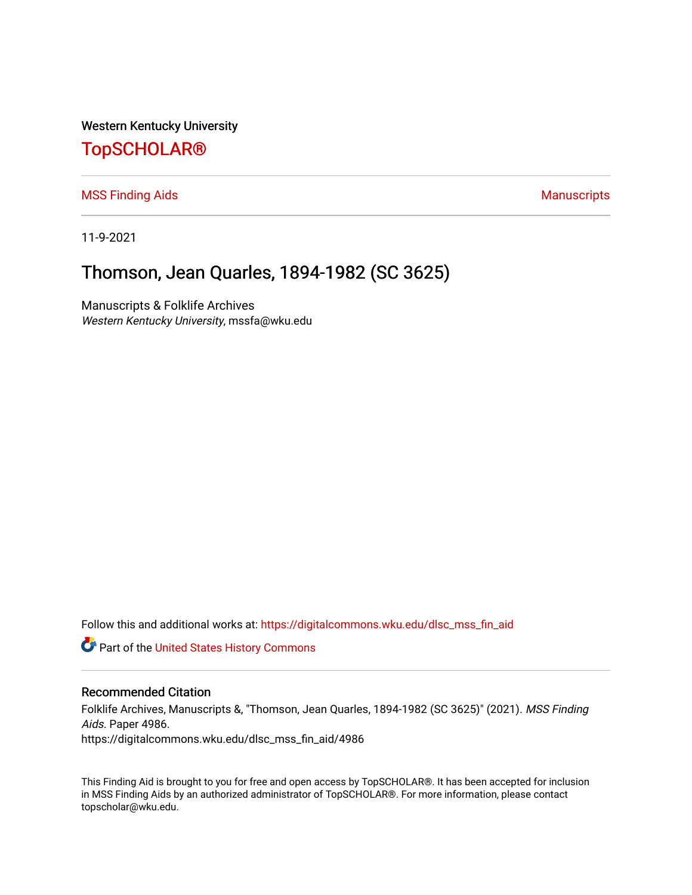Western Kentucky University

# [TopSCHOLAR®](https://digitalcommons.wku.edu/)

[MSS Finding Aids](https://digitalcommons.wku.edu/dlsc_mss_fin_aid) **Manuscripts** [Manuscripts](https://digitalcommons.wku.edu/dlsc_mss) **Manuscripts** 

11-9-2021

# Thomson, Jean Quarles, 1894-1982 (SC 3625)

Manuscripts & Folklife Archives Western Kentucky University, mssfa@wku.edu

Follow this and additional works at: [https://digitalcommons.wku.edu/dlsc\\_mss\\_fin\\_aid](https://digitalcommons.wku.edu/dlsc_mss_fin_aid?utm_source=digitalcommons.wku.edu%2Fdlsc_mss_fin_aid%2F4986&utm_medium=PDF&utm_campaign=PDFCoverPages) 

Part of the [United States History Commons](http://network.bepress.com/hgg/discipline/495?utm_source=digitalcommons.wku.edu%2Fdlsc_mss_fin_aid%2F4986&utm_medium=PDF&utm_campaign=PDFCoverPages) 

#### Recommended Citation

Folklife Archives, Manuscripts &, "Thomson, Jean Quarles, 1894-1982 (SC 3625)" (2021). MSS Finding Aids. Paper 4986. https://digitalcommons.wku.edu/dlsc\_mss\_fin\_aid/4986

This Finding Aid is brought to you for free and open access by TopSCHOLAR®. It has been accepted for inclusion in MSS Finding Aids by an authorized administrator of TopSCHOLAR®. For more information, please contact topscholar@wku.edu.